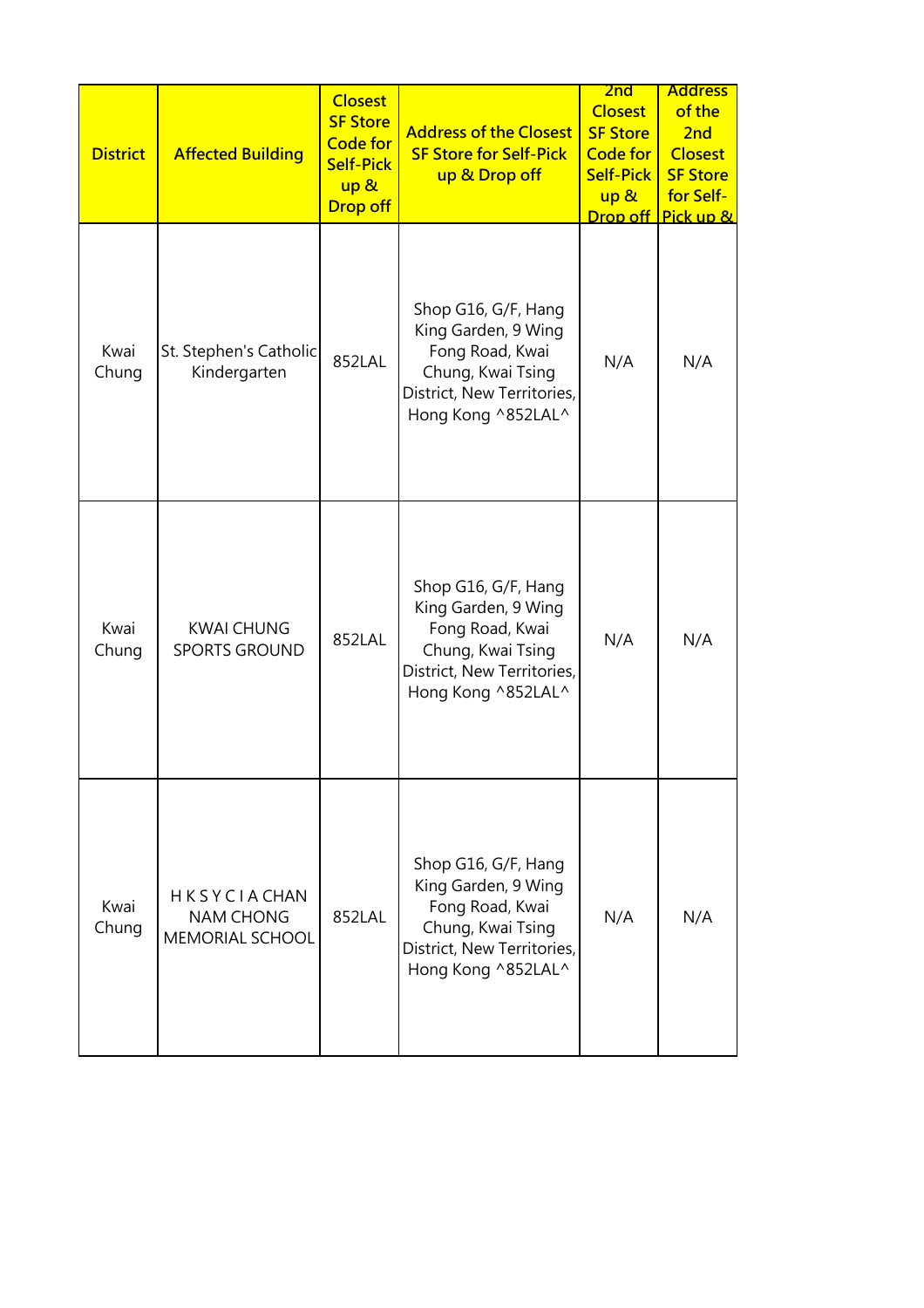| <b>District</b> | <b>Affected Building</b>                                         | <b>Closest</b><br><b>SF Store</b><br><b>Code for</b><br><b>Self-Pick</b><br>up &<br><b>Drop off</b> | <b>Address of the Closest</b><br><b>SF Store for Self-Pick</b><br>up & Drop off                                                        | 2nd<br><b>Closest</b><br><b>SF Store</b><br><b>Code for</b><br><b>Self-Pick</b><br>up &<br>Drop off | <b>Address</b><br>of the<br>2nd<br><b>Closest</b><br><b>SF Store</b><br>for Self-<br>Pick up & |
|-----------------|------------------------------------------------------------------|-----------------------------------------------------------------------------------------------------|----------------------------------------------------------------------------------------------------------------------------------------|-----------------------------------------------------------------------------------------------------|------------------------------------------------------------------------------------------------|
| Kwai<br>Chung   | St. Stephen's Catholic<br>Kindergarten                           | 852LAL                                                                                              | Shop G16, G/F, Hang<br>King Garden, 9 Wing<br>Fong Road, Kwai<br>Chung, Kwai Tsing<br>District, New Territories,<br>Hong Kong ^852LAL^ | N/A                                                                                                 | N/A                                                                                            |
| Kwai<br>Chung   | <b>KWAI CHUNG</b><br><b>SPORTS GROUND</b>                        | 852LAL                                                                                              | Shop G16, G/F, Hang<br>King Garden, 9 Wing<br>Fong Road, Kwai<br>Chung, Kwai Tsing<br>District, New Territories,<br>Hong Kong ^852LAL^ | N/A                                                                                                 | N/A                                                                                            |
| Kwai<br>Chung   | <b>HKSYCIACHAN</b><br><b>NAM CHONG</b><br><b>MEMORIAL SCHOOL</b> | 852LAL                                                                                              | Shop G16, G/F, Hang<br>King Garden, 9 Wing<br>Fong Road, Kwai<br>Chung, Kwai Tsing<br>District, New Territories,<br>Hong Kong ^852LAL^ | N/A                                                                                                 | N/A                                                                                            |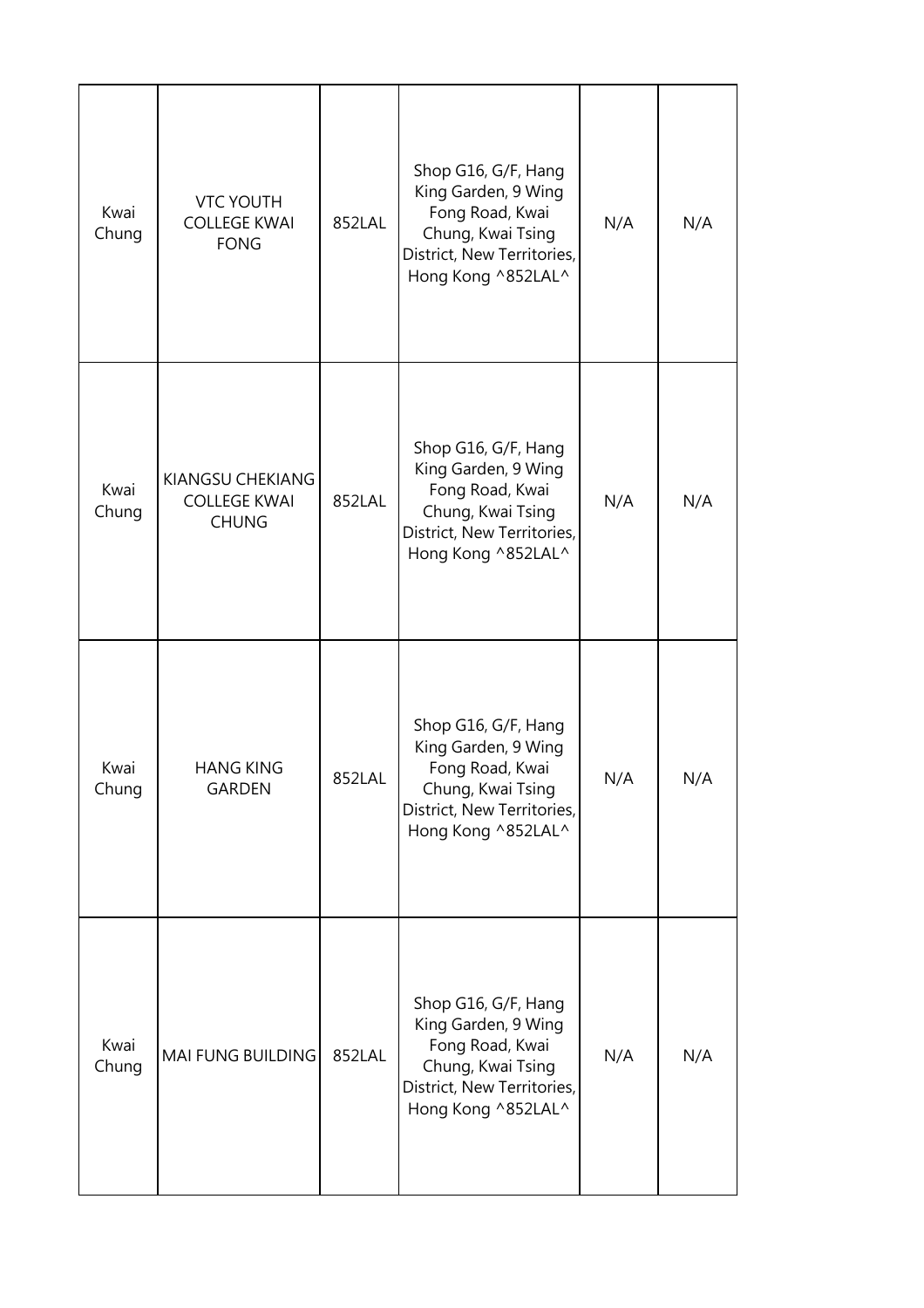| Kwai<br>Chung | <b>VTC YOUTH</b><br><b>COLLEGE KWAI</b><br><b>FONG</b>  | 852LAL | Shop G16, G/F, Hang<br>King Garden, 9 Wing<br>Fong Road, Kwai<br>Chung, Kwai Tsing<br>District, New Territories,<br>Hong Kong ^852LAL^ | N/A | N/A |
|---------------|---------------------------------------------------------|--------|----------------------------------------------------------------------------------------------------------------------------------------|-----|-----|
| Kwai<br>Chung | KIANGSU CHEKIANG<br><b>COLLEGE KWAI</b><br><b>CHUNG</b> | 852LAL | Shop G16, G/F, Hang<br>King Garden, 9 Wing<br>Fong Road, Kwai<br>Chung, Kwai Tsing<br>District, New Territories,<br>Hong Kong ^852LAL^ | N/A | N/A |
| Kwai<br>Chung | <b>HANG KING</b><br><b>GARDEN</b>                       | 852LAL | Shop G16, G/F, Hang<br>King Garden, 9 Wing<br>Fong Road, Kwai<br>Chung, Kwai Tsing<br>District, New Territories,<br>Hong Kong ^852LAL^ | N/A | N/A |
| Kwai<br>Chung | MAI FUNG BUILDING                                       | 852LAL | Shop G16, G/F, Hang<br>King Garden, 9 Wing<br>Fong Road, Kwai<br>Chung, Kwai Tsing<br>District, New Territories,<br>Hong Kong ^852LAL^ | N/A | N/A |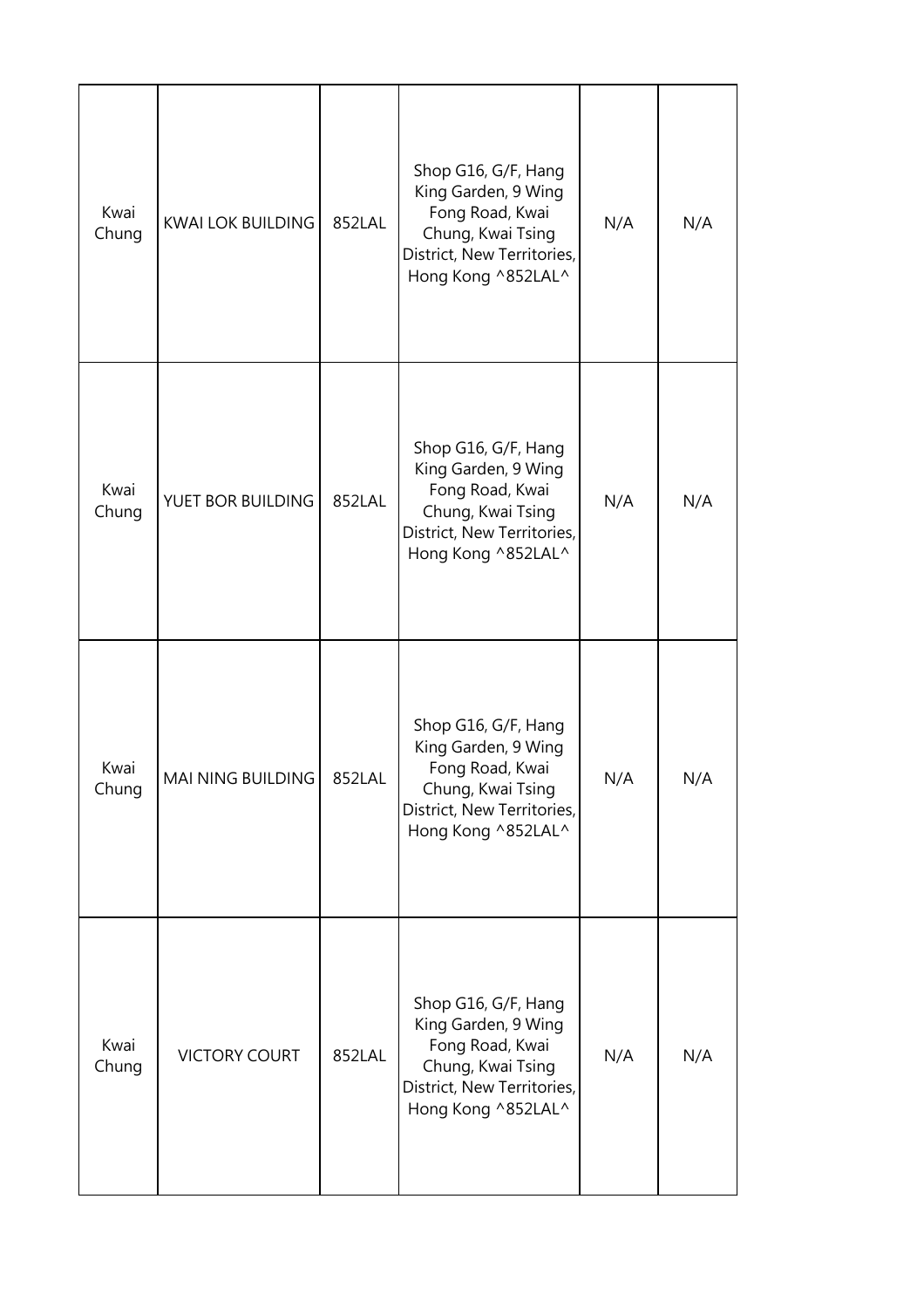| Kwai<br>Chung | <b>KWAI LOK BUILDING</b> | 852LAL | Shop G16, G/F, Hang<br>King Garden, 9 Wing<br>Fong Road, Kwai<br>Chung, Kwai Tsing<br>District, New Territories,<br>Hong Kong ^852LAL^ | N/A | N/A |
|---------------|--------------------------|--------|----------------------------------------------------------------------------------------------------------------------------------------|-----|-----|
| Kwai<br>Chung | YUET BOR BUILDING        | 852LAL | Shop G16, G/F, Hang<br>King Garden, 9 Wing<br>Fong Road, Kwai<br>Chung, Kwai Tsing<br>District, New Territories,<br>Hong Kong ^852LAL^ | N/A | N/A |
| Kwai<br>Chung | MAI NING BUILDING        | 852LAL | Shop G16, G/F, Hang<br>King Garden, 9 Wing<br>Fong Road, Kwai<br>Chung, Kwai Tsing<br>District, New Territories,<br>Hong Kong ^852LAL^ | N/A | N/A |
| Kwai<br>Chung | <b>VICTORY COURT</b>     | 852LAL | Shop G16, G/F, Hang<br>King Garden, 9 Wing<br>Fong Road, Kwai<br>Chung, Kwai Tsing<br>District, New Territories,<br>Hong Kong ^852LAL^ | N/A | N/A |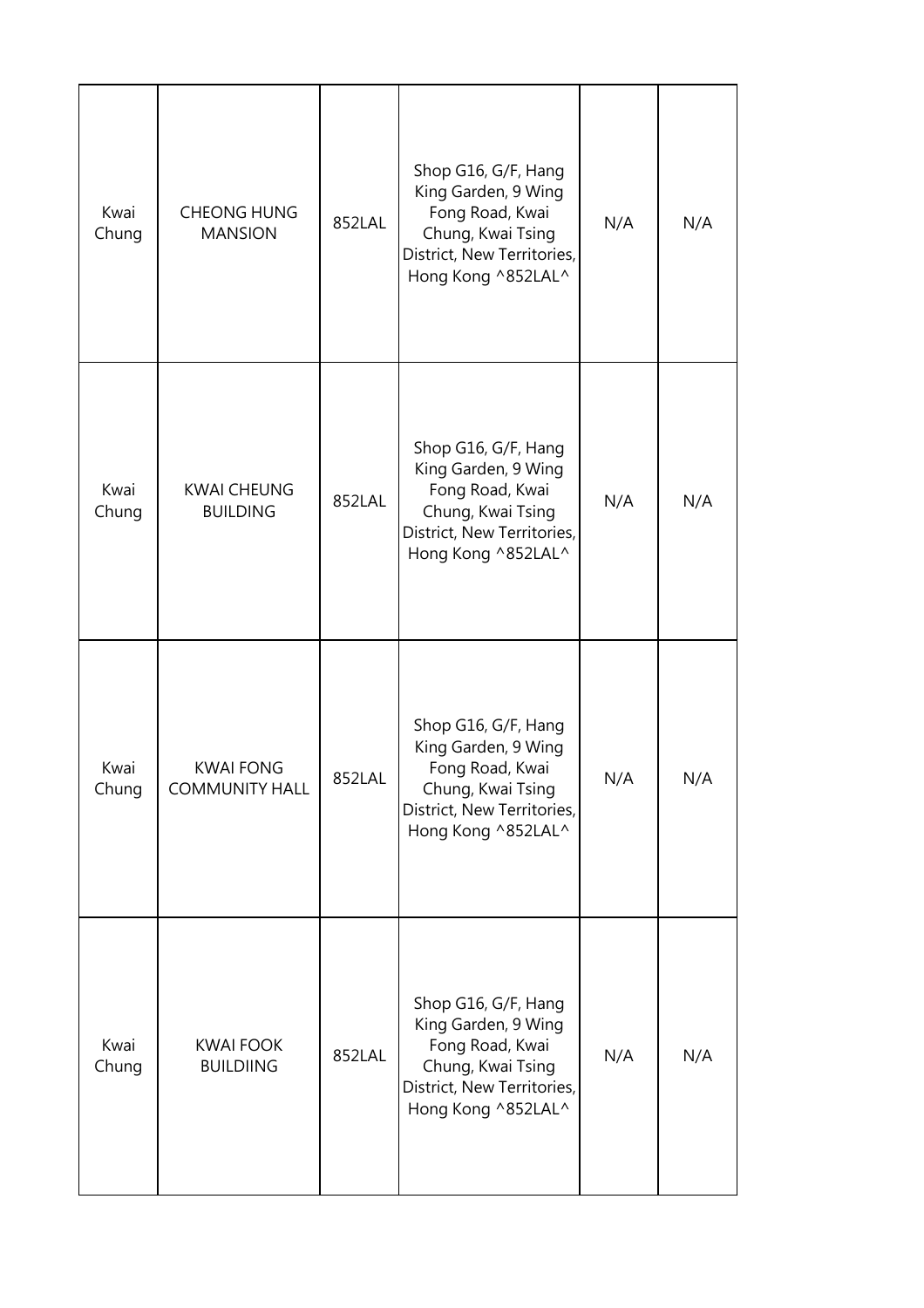| Kwai<br>Chung | <b>CHEONG HUNG</b><br><b>MANSION</b>      | 852LAL | Shop G16, G/F, Hang<br>King Garden, 9 Wing<br>Fong Road, Kwai<br>Chung, Kwai Tsing<br>District, New Territories,<br>Hong Kong ^852LAL^ | N/A | N/A |
|---------------|-------------------------------------------|--------|----------------------------------------------------------------------------------------------------------------------------------------|-----|-----|
| Kwai<br>Chung | <b>KWAI CHEUNG</b><br><b>BUILDING</b>     | 852LAL | Shop G16, G/F, Hang<br>King Garden, 9 Wing<br>Fong Road, Kwai<br>Chung, Kwai Tsing<br>District, New Territories,<br>Hong Kong ^852LAL^ | N/A | N/A |
| Kwai<br>Chung | <b>KWAI FONG</b><br><b>COMMUNITY HALL</b> | 852LAL | Shop G16, G/F, Hang<br>King Garden, 9 Wing<br>Fong Road, Kwai<br>Chung, Kwai Tsing<br>District, New Territories,<br>Hong Kong ^852LAL^ | N/A | N/A |
| Kwai<br>Chung | <b>KWAI FOOK</b><br><b>BUILDIING</b>      | 852LAL | Shop G16, G/F, Hang<br>King Garden, 9 Wing<br>Fong Road, Kwai<br>Chung, Kwai Tsing<br>District, New Territories,<br>Hong Kong ^852LAL^ | N/A | N/A |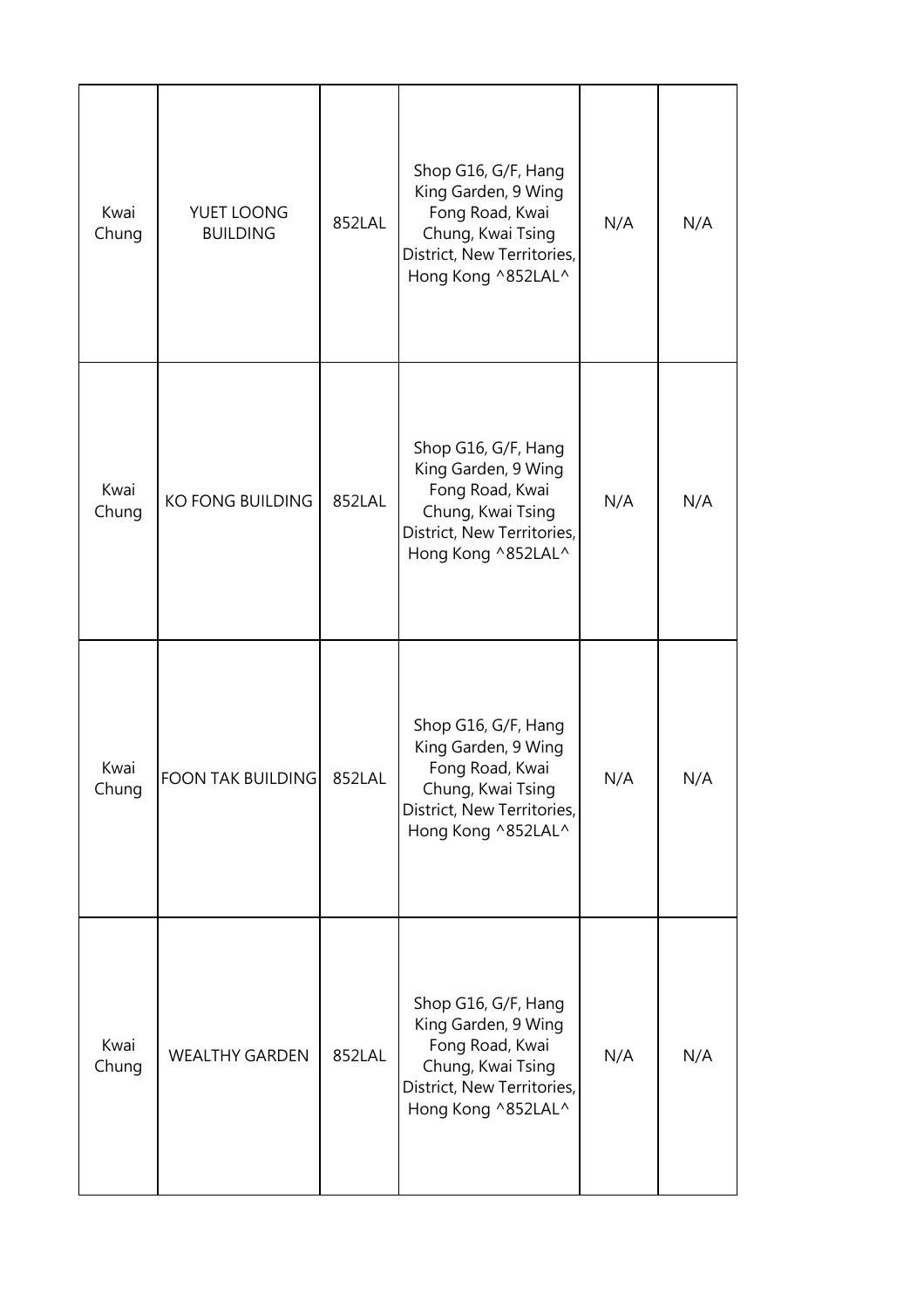| Kwai<br>Chung | YUET LOONG<br><b>BUILDING</b> | 852LAL | Shop G16, G/F, Hang<br>King Garden, 9 Wing<br>Fong Road, Kwai<br>Chung, Kwai Tsing<br>District, New Territories,<br>Hong Kong ^852LAL^ | N/A | N/A |
|---------------|-------------------------------|--------|----------------------------------------------------------------------------------------------------------------------------------------|-----|-----|
| Kwai<br>Chung | <b>KO FONG BUILDING</b>       | 852LAL | Shop G16, G/F, Hang<br>King Garden, 9 Wing<br>Fong Road, Kwai<br>Chung, Kwai Tsing<br>District, New Territories,<br>Hong Kong ^852LAL^ | N/A | N/A |
| Kwai<br>Chung | <b>FOON TAK BUILDING</b>      | 852LAL | Shop G16, G/F, Hang<br>King Garden, 9 Wing<br>Fong Road, Kwai<br>Chung, Kwai Tsing<br>District, New Territories,<br>Hong Kong ^852LAL^ | N/A | N/A |
| Kwai<br>Chung | <b>WEALTHY GARDEN</b>         | 852LAL | Shop G16, G/F, Hang<br>King Garden, 9 Wing<br>Fong Road, Kwai<br>Chung, Kwai Tsing<br>District, New Territories,<br>Hong Kong ^852LAL^ | N/A | N/A |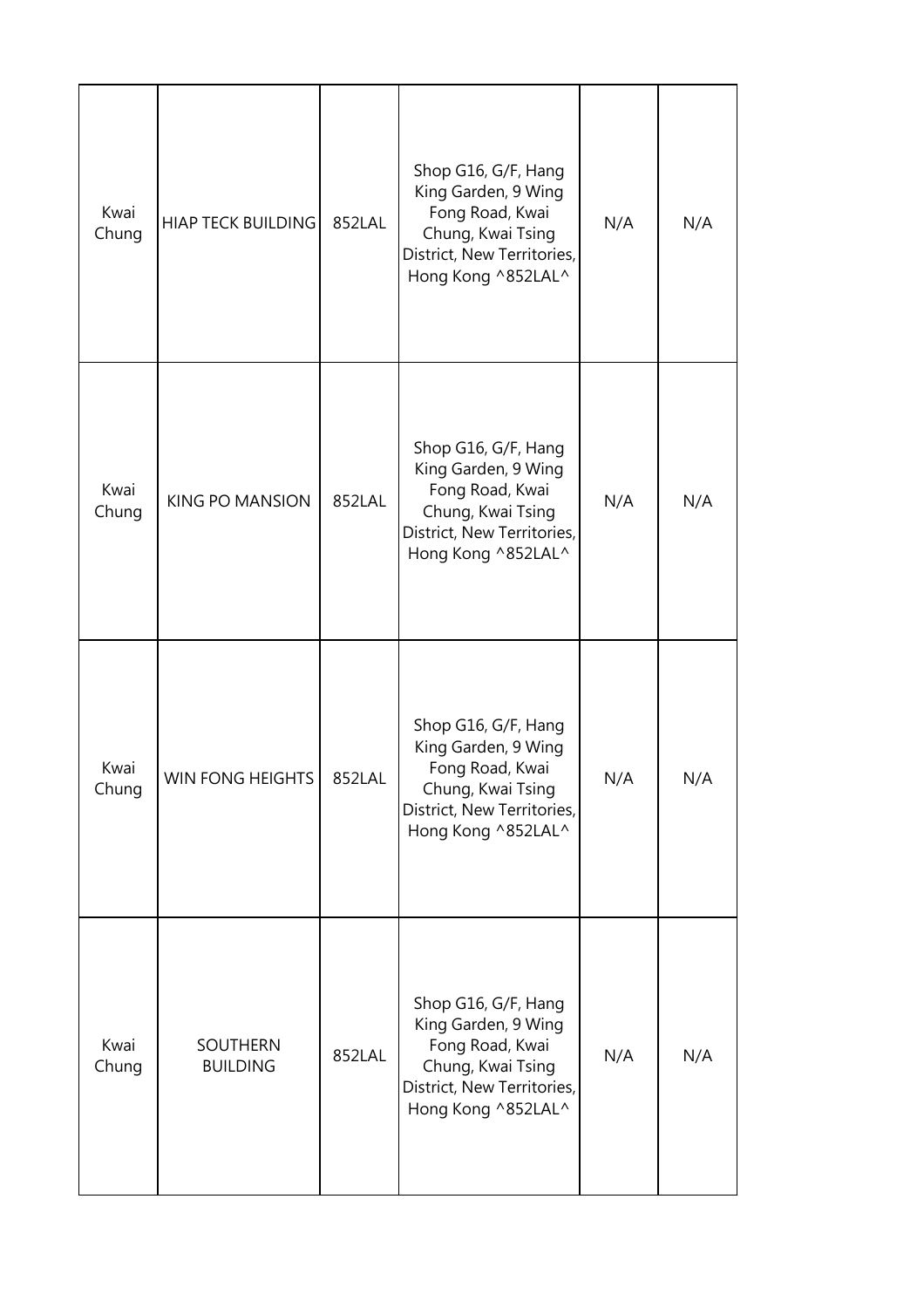| Kwai<br>Chung | <b>HIAP TECK BUILDING</b>   | 852LAL | Shop G16, G/F, Hang<br>King Garden, 9 Wing<br>Fong Road, Kwai<br>Chung, Kwai Tsing<br>District, New Territories,<br>Hong Kong ^852LAL^ | N/A | N/A |
|---------------|-----------------------------|--------|----------------------------------------------------------------------------------------------------------------------------------------|-----|-----|
| Kwai<br>Chung | KING PO MANSION             | 852LAL | Shop G16, G/F, Hang<br>King Garden, 9 Wing<br>Fong Road, Kwai<br>Chung, Kwai Tsing<br>District, New Territories,<br>Hong Kong ^852LAL^ | N/A | N/A |
| Kwai<br>Chung | WIN FONG HEIGHTS            | 852LAL | Shop G16, G/F, Hang<br>King Garden, 9 Wing<br>Fong Road, Kwai<br>Chung, Kwai Tsing<br>District, New Territories,<br>Hong Kong ^852LAL^ | N/A | N/A |
| Kwai<br>Chung | SOUTHERN<br><b>BUILDING</b> | 852LAL | Shop G16, G/F, Hang<br>King Garden, 9 Wing<br>Fong Road, Kwai<br>Chung, Kwai Tsing<br>District, New Territories,<br>Hong Kong ^852LAL^ | N/A | N/A |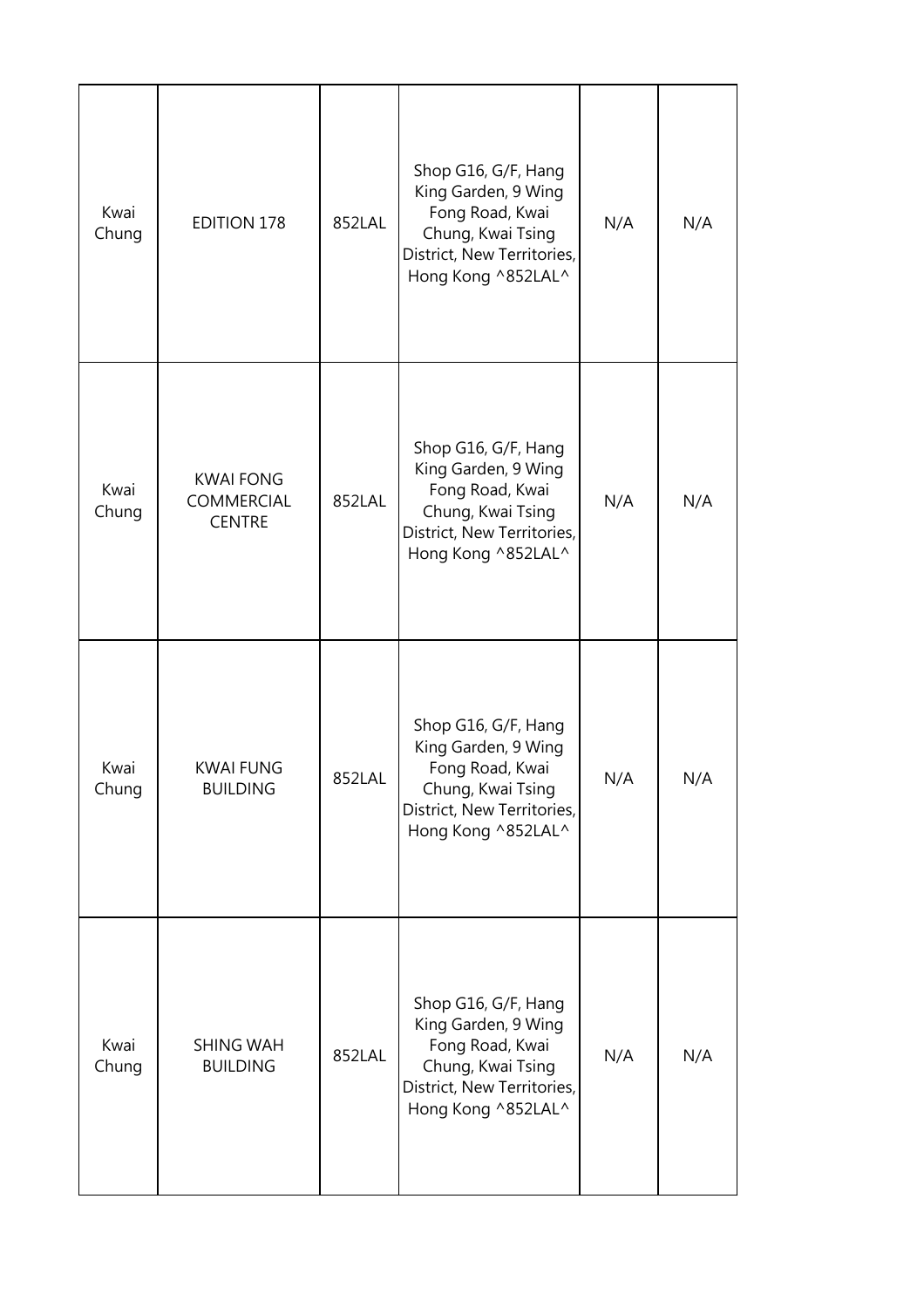| Kwai<br>Chung | <b>EDITION 178</b>                              | 852LAL | Shop G16, G/F, Hang<br>King Garden, 9 Wing<br>Fong Road, Kwai<br>Chung, Kwai Tsing<br>District, New Territories,<br>Hong Kong ^852LAL^ | N/A | N/A |
|---------------|-------------------------------------------------|--------|----------------------------------------------------------------------------------------------------------------------------------------|-----|-----|
| Kwai<br>Chung | <b>KWAI FONG</b><br>COMMERCIAL<br><b>CENTRE</b> | 852LAL | Shop G16, G/F, Hang<br>King Garden, 9 Wing<br>Fong Road, Kwai<br>Chung, Kwai Tsing<br>District, New Territories,<br>Hong Kong ^852LAL^ | N/A | N/A |
| Kwai<br>Chung | <b>KWAI FUNG</b><br><b>BUILDING</b>             | 852LAL | Shop G16, G/F, Hang<br>King Garden, 9 Wing<br>Fong Road, Kwai<br>Chung, Kwai Tsing<br>District, New Territories,<br>Hong Kong ^852LAL^ | N/A | N/A |
| Kwai<br>Chung | <b>SHING WAH</b><br><b>BUILDING</b>             | 852LAL | Shop G16, G/F, Hang<br>King Garden, 9 Wing<br>Fong Road, Kwai<br>Chung, Kwai Tsing<br>District, New Territories,<br>Hong Kong ^852LAL^ | N/A | N/A |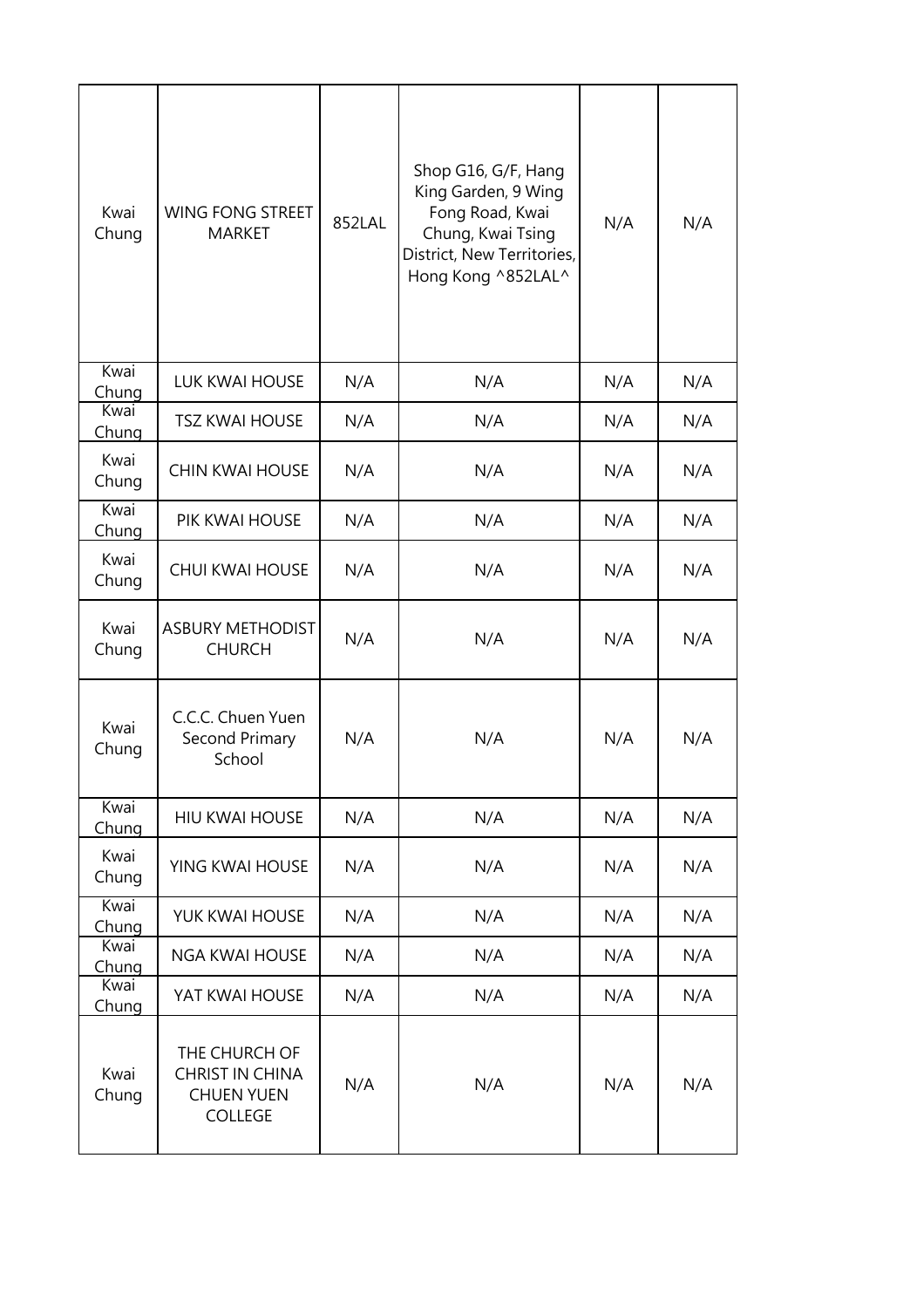| Kwai<br>Chung | <b>WING FONG STREET</b><br><b>MARKET</b>                                       | 852LAL | Shop G16, G/F, Hang<br>King Garden, 9 Wing<br>Fong Road, Kwai<br>Chung, Kwai Tsing<br>District, New Territories,<br>Hong Kong ^852LAL^ | N/A | N/A |
|---------------|--------------------------------------------------------------------------------|--------|----------------------------------------------------------------------------------------------------------------------------------------|-----|-----|
| Kwai<br>Chung | <b>LUK KWAI HOUSE</b>                                                          | N/A    | N/A                                                                                                                                    | N/A | N/A |
| Kwai<br>Chung | <b>TSZ KWAI HOUSE</b>                                                          | N/A    | N/A                                                                                                                                    | N/A | N/A |
| Kwai<br>Chung | <b>CHIN KWAI HOUSE</b>                                                         | N/A    | N/A                                                                                                                                    | N/A | N/A |
| Kwai<br>Chung | PIK KWAI HOUSE                                                                 | N/A    | N/A                                                                                                                                    | N/A | N/A |
| Kwai<br>Chung | <b>CHUI KWAI HOUSE</b>                                                         | N/A    | N/A                                                                                                                                    | N/A | N/A |
| Kwai<br>Chung | <b>ASBURY METHODIST</b><br><b>CHURCH</b>                                       | N/A    | N/A                                                                                                                                    | N/A | N/A |
| Kwai<br>Chung | C.C.C. Chuen Yuen<br>Second Primary<br>School                                  | N/A    | N/A                                                                                                                                    | N/A | N/A |
| Kwai<br>Chung | <b>HIU KWAI HOUSE</b>                                                          | N/A    | N/A                                                                                                                                    | N/A | N/A |
| Kwai<br>Chung | YING KWAI HOUSE                                                                | N/A    | N/A                                                                                                                                    | N/A | N/A |
| Kwai<br>Chung | YUK KWAI HOUSE                                                                 | N/A    | N/A                                                                                                                                    | N/A | N/A |
| Kwai<br>Chung | <b>NGA KWAI HOUSE</b>                                                          | N/A    | N/A                                                                                                                                    | N/A | N/A |
| Kwai<br>Chung | YAT KWAI HOUSE                                                                 | N/A    | N/A                                                                                                                                    | N/A | N/A |
| Kwai<br>Chung | THE CHURCH OF<br><b>CHRIST IN CHINA</b><br><b>CHUEN YUEN</b><br><b>COLLEGE</b> | N/A    | N/A                                                                                                                                    | N/A | N/A |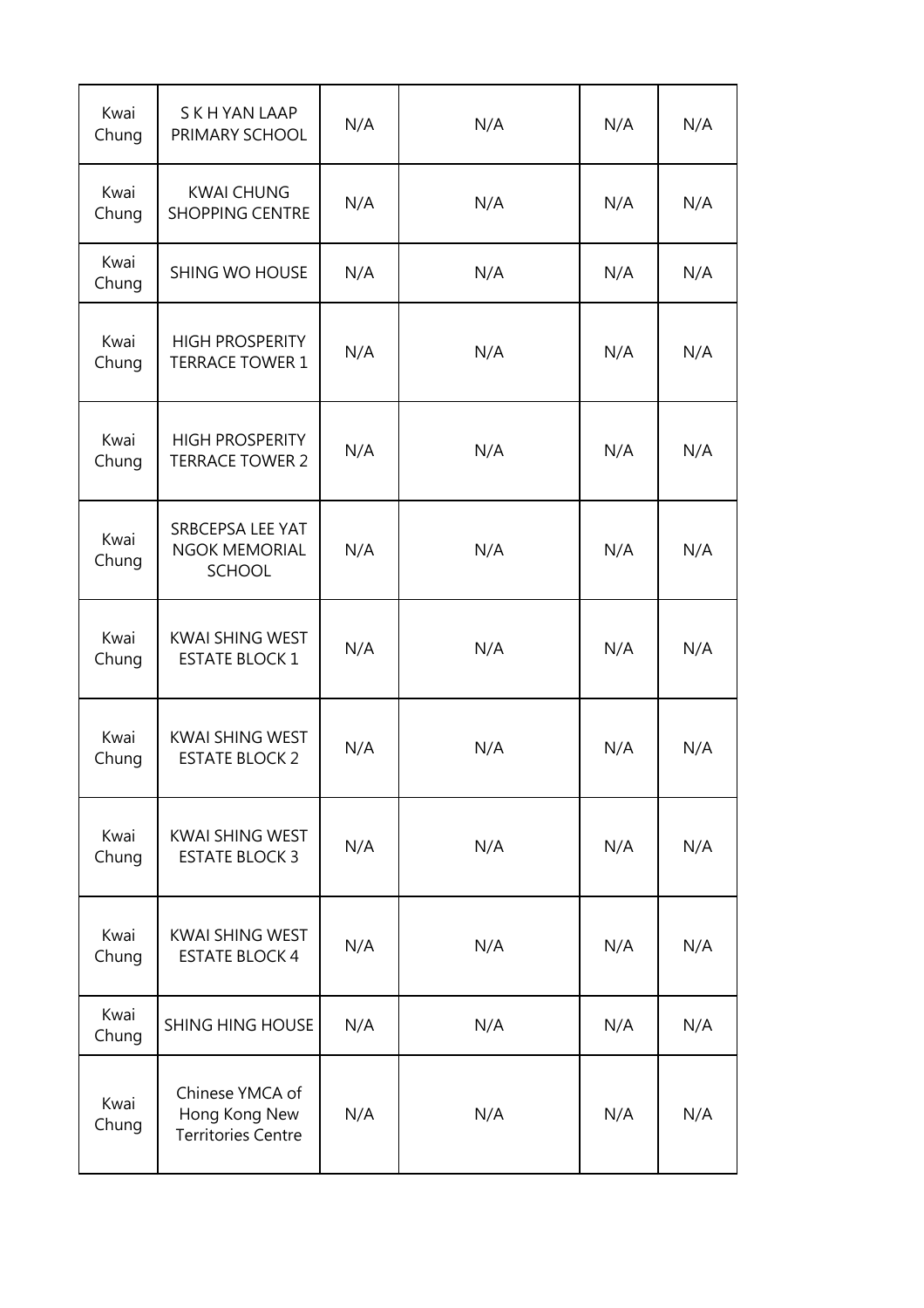| Kwai<br>Chung | S K H YAN LAAP<br>PRIMARY SCHOOL                              | N/A | N/A | N/A | N/A |
|---------------|---------------------------------------------------------------|-----|-----|-----|-----|
| Kwai<br>Chung | <b>KWAI CHUNG</b><br><b>SHOPPING CENTRE</b>                   | N/A | N/A | N/A | N/A |
| Kwai<br>Chung | <b>SHING WO HOUSE</b>                                         | N/A | N/A | N/A | N/A |
| Kwai<br>Chung | <b>HIGH PROSPERITY</b><br><b>TERRACE TOWER 1</b>              | N/A | N/A | N/A | N/A |
| Kwai<br>Chung | <b>HIGH PROSPERITY</b><br><b>TERRACE TOWER 2</b>              | N/A | N/A | N/A | N/A |
| Kwai<br>Chung | SRBCEPSA LEE YAT<br><b>NGOK MEMORIAL</b><br><b>SCHOOL</b>     | N/A | N/A | N/A | N/A |
| Kwai<br>Chung | <b>KWAI SHING WEST</b><br><b>ESTATE BLOCK 1</b>               | N/A | N/A | N/A | N/A |
| Kwai<br>Chung | <b>KWAI SHING WEST</b><br><b>ESTATE BLOCK 2</b>               | N/A | N/A | N/A | N/A |
| Kwai<br>Chung | <b>KWAI SHING WEST</b><br><b>ESTATE BLOCK 3</b>               | N/A | N/A | N/A | N/A |
| Kwai<br>Chung | <b>KWAI SHING WEST</b><br><b>ESTATE BLOCK 4</b>               | N/A | N/A | N/A | N/A |
| Kwai<br>Chung | <b>SHING HING HOUSE</b>                                       | N/A | N/A | N/A | N/A |
| Kwai<br>Chung | Chinese YMCA of<br>Hong Kong New<br><b>Territories Centre</b> | N/A | N/A | N/A | N/A |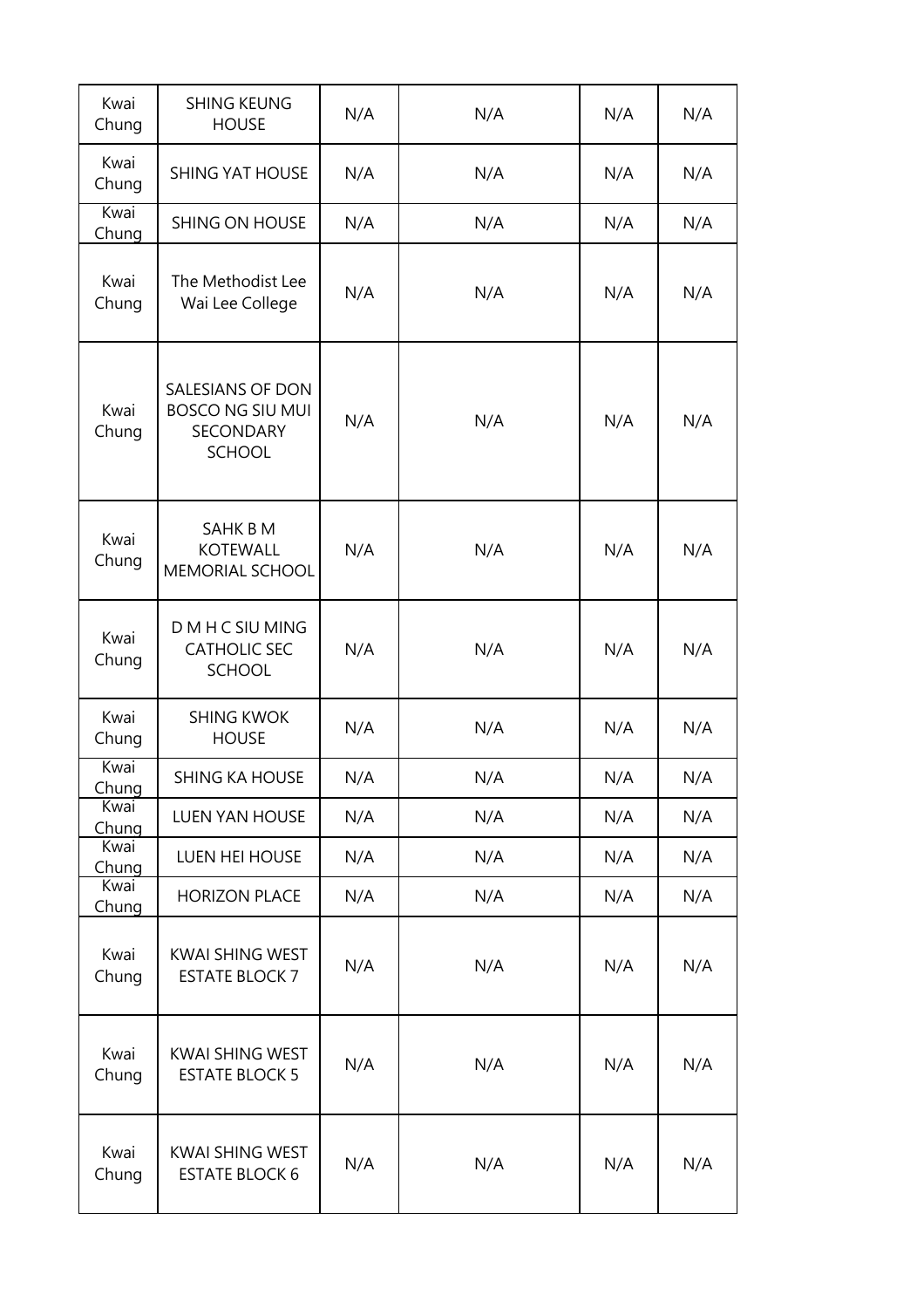| Kwai<br>Chung | <b>SHING KEUNG</b><br><b>HOUSE</b>                                               | N/A | N/A | N/A | N/A |
|---------------|----------------------------------------------------------------------------------|-----|-----|-----|-----|
| Kwai<br>Chung | <b>SHING YAT HOUSE</b>                                                           | N/A | N/A | N/A | N/A |
| Kwai<br>Chung | <b>SHING ON HOUSE</b>                                                            | N/A | N/A | N/A | N/A |
| Kwai<br>Chung | The Methodist Lee<br>Wai Lee College                                             | N/A | N/A | N/A | N/A |
| Kwai<br>Chung | SALESIANS OF DON<br><b>BOSCO NG SIU MUI</b><br><b>SECONDARY</b><br><b>SCHOOL</b> | N/A | N/A | N/A | N/A |
| Kwai<br>Chung | SAHK B M<br><b>KOTEWALL</b><br><b>MEMORIAL SCHOOL</b>                            | N/A | N/A | N/A | N/A |
| Kwai<br>Chung | D M H C SIU MING<br><b>CATHOLIC SEC</b><br><b>SCHOOL</b>                         | N/A | N/A | N/A | N/A |
| Kwai<br>Chung | <b>SHING KWOK</b><br><b>HOUSE</b>                                                | N/A | N/A | N/A | N/A |
| Kwai<br>Chung | <b>SHING KA HOUSE</b>                                                            | N/A | N/A | N/A | N/A |
| Kwai<br>Chung | <b>LUEN YAN HOUSE</b>                                                            | N/A | N/A | N/A | N/A |
| Kwai<br>Chung | LUEN HEI HOUSE                                                                   | N/A | N/A | N/A | N/A |
| Kwai<br>Chung | <b>HORIZON PLACE</b>                                                             | N/A | N/A | N/A | N/A |
| Kwai<br>Chung | <b>KWAI SHING WEST</b><br><b>ESTATE BLOCK 7</b>                                  | N/A | N/A | N/A | N/A |
| Kwai<br>Chung | <b>KWAI SHING WEST</b><br><b>ESTATE BLOCK 5</b>                                  | N/A | N/A | N/A | N/A |
| Kwai<br>Chung | KWAI SHING WEST<br><b>ESTATE BLOCK 6</b>                                         | N/A | N/A | N/A | N/A |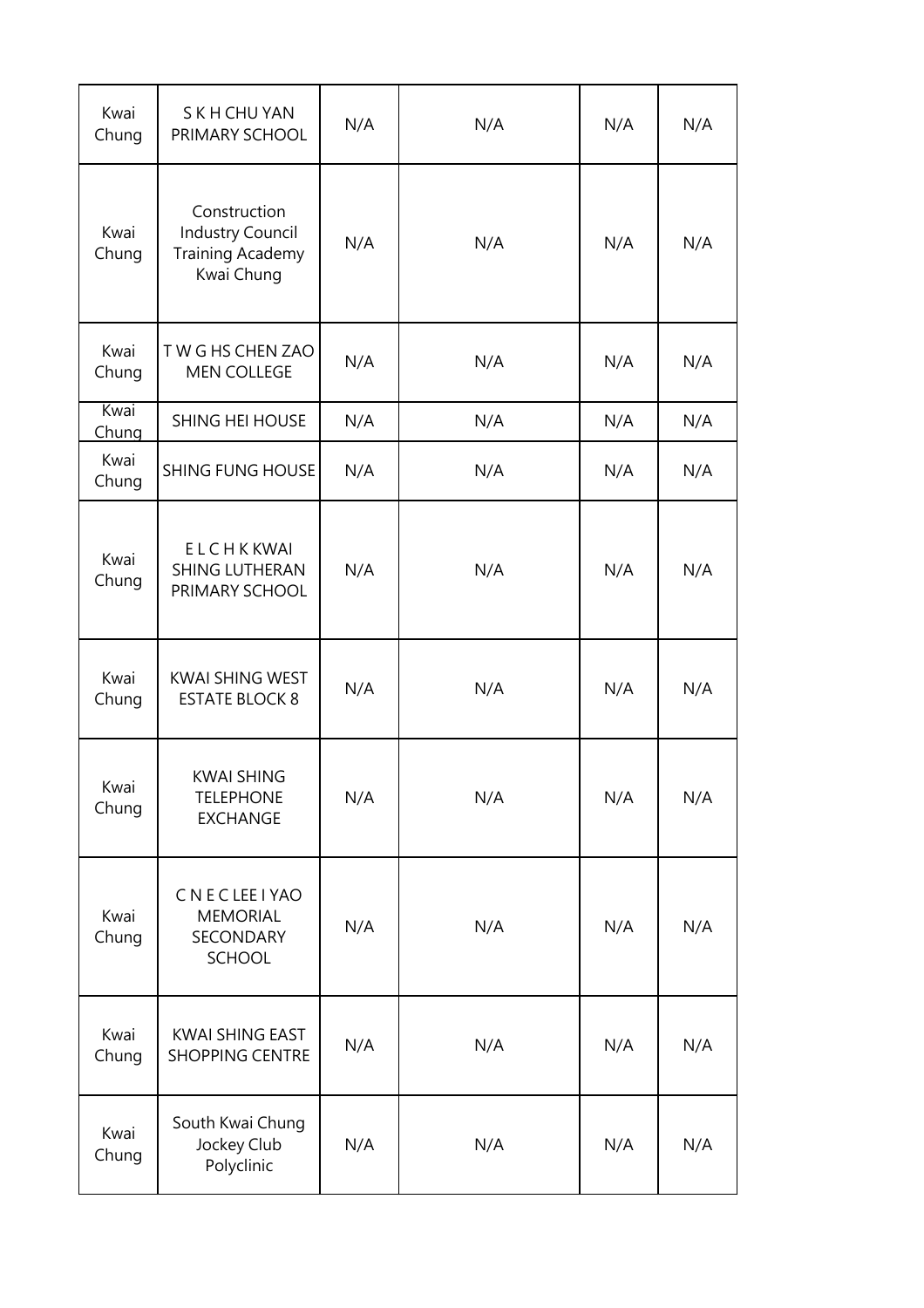| Kwai<br>Chung | S K H CHU YAN<br>PRIMARY SCHOOL                                                  | N/A | N/A | N/A | N/A |
|---------------|----------------------------------------------------------------------------------|-----|-----|-----|-----|
| Kwai<br>Chung | Construction<br><b>Industry Council</b><br><b>Training Academy</b><br>Kwai Chung | N/A | N/A | N/A | N/A |
| Kwai<br>Chung | TWG HS CHEN ZAO<br><b>MEN COLLEGE</b>                                            | N/A | N/A | N/A | N/A |
| Kwai<br>Chung | <b>SHING HEI HOUSE</b>                                                           | N/A | N/A | N/A | N/A |
| Kwai<br>Chung | <b>SHING FUNG HOUSE</b>                                                          | N/A | N/A | N/A | N/A |
| Kwai<br>Chung | ELCHKKWAI<br><b>SHING LUTHERAN</b><br>PRIMARY SCHOOL                             | N/A | N/A | N/A | N/A |
| Kwai<br>Chung | <b>KWAI SHING WEST</b><br><b>ESTATE BLOCK 8</b>                                  | N/A | N/A | N/A | N/A |
| Kwai<br>Chung | <b>KWAI SHING</b><br><b>TELEPHONE</b><br><b>EXCHANGE</b>                         | N/A | N/A | N/A | N/A |
| Kwai<br>Chung | CNECLEE I YAO<br><b>MEMORIAL</b><br>SECONDARY<br><b>SCHOOL</b>                   | N/A | N/A | N/A | N/A |
| Kwai<br>Chung | KWAI SHING EAST<br><b>SHOPPING CENTRE</b>                                        | N/A | N/A | N/A | N/A |
| Kwai<br>Chung | South Kwai Chung<br>Jockey Club<br>Polyclinic                                    | N/A | N/A | N/A | N/A |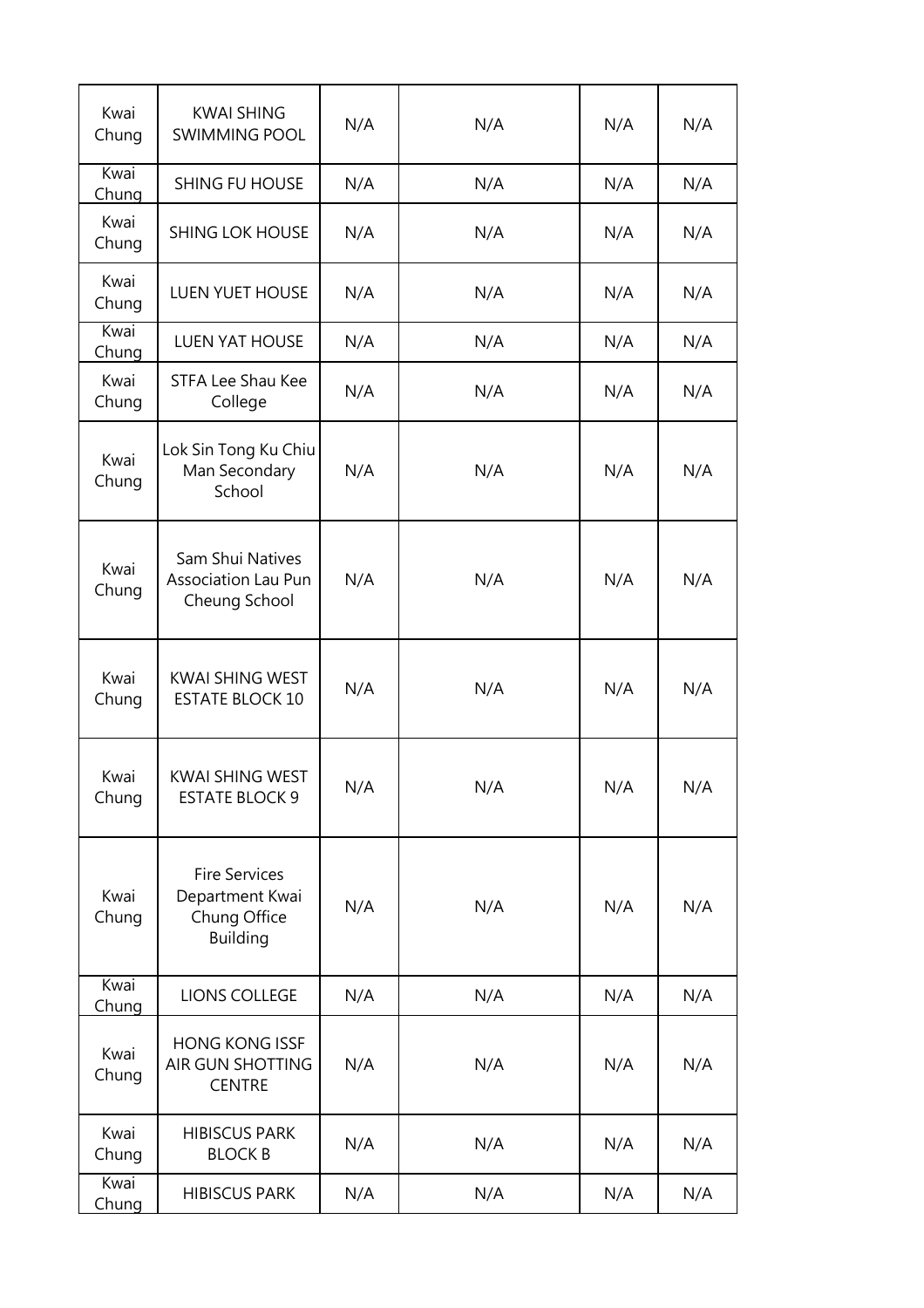| Kwai<br>Chung | <b>KWAI SHING</b><br><b>SWIMMING POOL</b>                                  | N/A | N/A | N/A | N/A |
|---------------|----------------------------------------------------------------------------|-----|-----|-----|-----|
| Kwai<br>Chung | <b>SHING FU HOUSE</b>                                                      | N/A | N/A | N/A | N/A |
| Kwai<br>Chung | <b>SHING LOK HOUSE</b>                                                     | N/A | N/A | N/A | N/A |
| Kwai<br>Chung | <b>LUEN YUET HOUSE</b>                                                     | N/A | N/A | N/A | N/A |
| Kwai<br>Chung | <b>LUEN YAT HOUSE</b>                                                      | N/A | N/A | N/A | N/A |
| Kwai<br>Chung | STFA Lee Shau Kee<br>College                                               | N/A | N/A | N/A | N/A |
| Kwai<br>Chung | Lok Sin Tong Ku Chiu<br>Man Secondary<br>School                            | N/A | N/A | N/A | N/A |
| Kwai<br>Chung | Sam Shui Natives<br><b>Association Lau Pun</b><br>Cheung School            | N/A | N/A | N/A | N/A |
| Kwai<br>Chung | KWAI SHING WEST<br><b>ESTATE BLOCK 10</b>                                  | N/A | N/A | N/A | N/A |
| Kwai<br>Chung | KWAI SHING WEST<br><b>ESTATE BLOCK 9</b>                                   | N/A | N/A | N/A | N/A |
| Kwai<br>Chung | <b>Fire Services</b><br>Department Kwai<br>Chung Office<br><b>Building</b> | N/A | N/A | N/A | N/A |
| Kwai<br>Chung | LIONS COLLEGE                                                              | N/A | N/A | N/A | N/A |
| Kwai<br>Chung | <b>HONG KONG ISSF</b><br>AIR GUN SHOTTING<br><b>CENTRE</b>                 | N/A | N/A | N/A | N/A |
| Kwai<br>Chung | <b>HIBISCUS PARK</b><br><b>BLOCK B</b>                                     | N/A | N/A | N/A | N/A |
| Kwai<br>Chung | <b>HIBISCUS PARK</b>                                                       | N/A | N/A | N/A | N/A |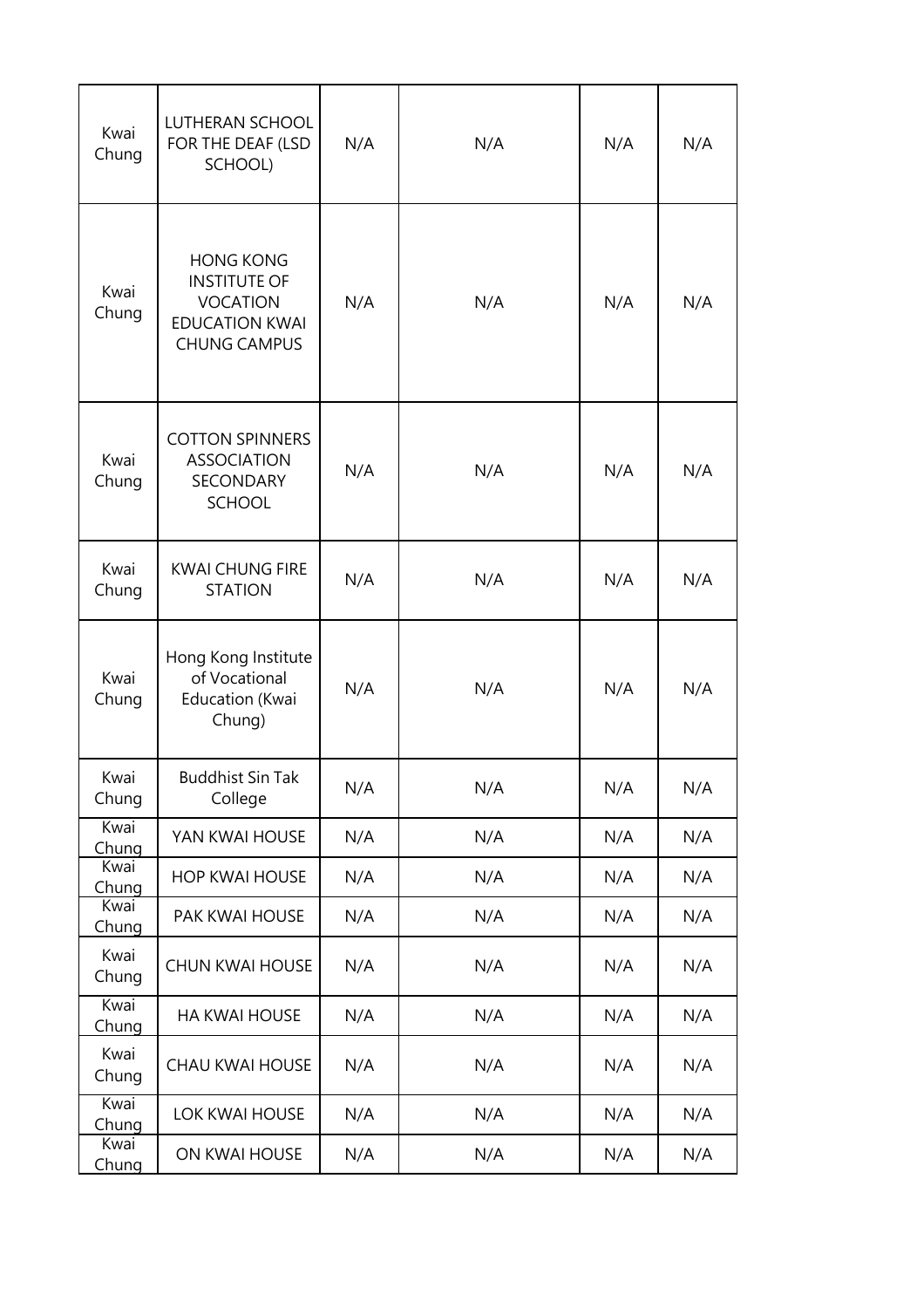| Kwai<br>Chung | <b>LUTHERAN SCHOOL</b><br>FOR THE DEAF (LSD<br>SCHOOL)                                                     | N/A | N/A | N/A | N/A |
|---------------|------------------------------------------------------------------------------------------------------------|-----|-----|-----|-----|
| Kwai<br>Chung | <b>HONG KONG</b><br><b>INSTITUTE OF</b><br><b>VOCATION</b><br><b>EDUCATION KWAI</b><br><b>CHUNG CAMPUS</b> | N/A | N/A | N/A | N/A |
| Kwai<br>Chung | <b>COTTON SPINNERS</b><br><b>ASSOCIATION</b><br><b>SECONDARY</b><br><b>SCHOOL</b>                          | N/A | N/A | N/A | N/A |
| Kwai<br>Chung | <b>KWAI CHUNG FIRE</b><br><b>STATION</b>                                                                   | N/A | N/A | N/A | N/A |
| Kwai<br>Chung | Hong Kong Institute<br>of Vocational<br>Education (Kwai<br>Chung)                                          | N/A | N/A | N/A | N/A |
| Kwai<br>Chung | <b>Buddhist Sin Tak</b><br>College                                                                         | N/A | N/A | N/A | N/A |
| Kwai<br>Chung | YAN KWAI HOUSE                                                                                             | N/A | N/A | N/A | N/A |
| Kwai<br>Chung | <b>HOP KWAI HOUSE</b>                                                                                      | N/A | N/A | N/A | N/A |
| Kwai<br>Chung | PAK KWAI HOUSE                                                                                             | N/A | N/A | N/A | N/A |
| Kwai<br>Chung | <b>CHUN KWAI HOUSE</b>                                                                                     | N/A | N/A | N/A | N/A |
| Kwai<br>Chung | HA KWAI HOUSE                                                                                              | N/A | N/A | N/A | N/A |
| Kwai<br>Chung | <b>CHAU KWAI HOUSE</b>                                                                                     | N/A | N/A | N/A | N/A |
| Kwai<br>Chung | LOK KWAI HOUSE                                                                                             | N/A | N/A | N/A | N/A |
| Kwai<br>Chung | ON KWAI HOUSE                                                                                              | N/A | N/A | N/A | N/A |